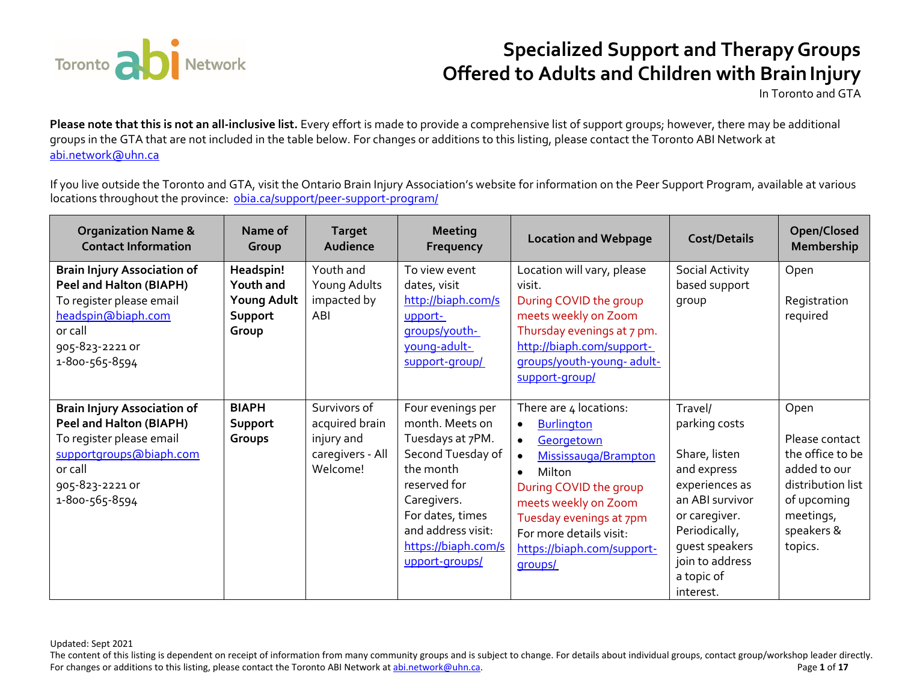

In Toronto and GTA

**Please note that this is not an all-inclusive list.** Every effort is made to provide a comprehensive list of support groups; however, there may be additional groups in the GTA that are not included in the table below. For changes or additions to this listing, please contact the Toronto ABI Network at abi.network@uhn.ca

If you live outside the Toronto and GTA, visit the Ontario Brain Injury Association's website for information on the Peer Support Program, available at various locations throughout the province: <u>obia.ca/support/peer-support-program/</u>

| <b>Organization Name &amp;</b><br><b>Contact Information</b>                                                                                                                | Name of<br>Group                                          | <b>Target</b><br>Audience                                                    | <b>Meeting</b><br>Frequency                                                                                                                                                                                  | <b>Location and Webpage</b>                                                                                                                                                                                                                                                         | <b>Cost/Details</b>                                                                                                                                                                             | Open/Closed<br>Membership                                                                                                            |
|-----------------------------------------------------------------------------------------------------------------------------------------------------------------------------|-----------------------------------------------------------|------------------------------------------------------------------------------|--------------------------------------------------------------------------------------------------------------------------------------------------------------------------------------------------------------|-------------------------------------------------------------------------------------------------------------------------------------------------------------------------------------------------------------------------------------------------------------------------------------|-------------------------------------------------------------------------------------------------------------------------------------------------------------------------------------------------|--------------------------------------------------------------------------------------------------------------------------------------|
| <b>Brain Injury Association of</b><br>Peel and Halton (BIAPH)<br>To register please email<br>headspin@biaph.com<br>or call<br>905-823-2221 or<br>1-800-565-8594             | Headspin!<br>Youth and<br>Young Adult<br>Support<br>Group | Youth and<br>Young Adults<br>impacted by<br>ABI                              | To view event<br>dates, visit<br>http://biaph.com/s<br>upport-<br>groups/youth-<br>young-adult-<br>support-group/                                                                                            | Location will vary, please<br>visit.<br>During COVID the group<br>meets weekly on Zoom<br>Thursday evenings at 7 pm.<br>http://biaph.com/support-<br>groups/youth-young-adult-<br>support-group/                                                                                    | Social Activity<br>based support<br>group                                                                                                                                                       | Open<br>Registration<br>required                                                                                                     |
| <b>Brain Injury Association of</b><br><b>Peel and Halton (BIAPH)</b><br>To register please email<br>supportgroups@biaph.com<br>or call<br>905-823-2221 or<br>1-800-565-8594 | <b>BIAPH</b><br>Support<br>Groups                         | Survivors of<br>acquired brain<br>injury and<br>caregivers - All<br>Welcome! | Four evenings per<br>month. Meets on<br>Tuesdays at 7PM.<br>Second Tuesday of<br>the month<br>reserved for<br>Caregivers.<br>For dates, times<br>and address visit:<br>https://biaph.com/s<br>upport-groups/ | There are 4 locations:<br><b>Burlington</b><br>$\bullet$<br>Georgetown<br>$\bullet$<br>Mississauga/Brampton<br>Milton<br>$\bullet$<br>During COVID the group<br>meets weekly on Zoom<br>Tuesday evenings at 7pm<br>For more details visit:<br>https://biaph.com/support-<br>groups/ | Travel/<br>parking costs<br>Share, listen<br>and express<br>experiences as<br>an ABI survivor<br>or caregiver.<br>Periodically,<br>guest speakers<br>join to address<br>a topic of<br>interest. | Open<br>Please contact<br>the office to be<br>added to our<br>distribution list<br>of upcoming<br>meetings,<br>speakers &<br>topics. |

Updated: Sept 2021

The content of this listing is dependent on receipt of information from many community groups and is subject to change. For details about individual groups, contact group/workshop leader directly. For changes or additions to this listing, please contact the Toronto ABI Network at <u>abi.network@uhn.ca</u>. Page 1 of 17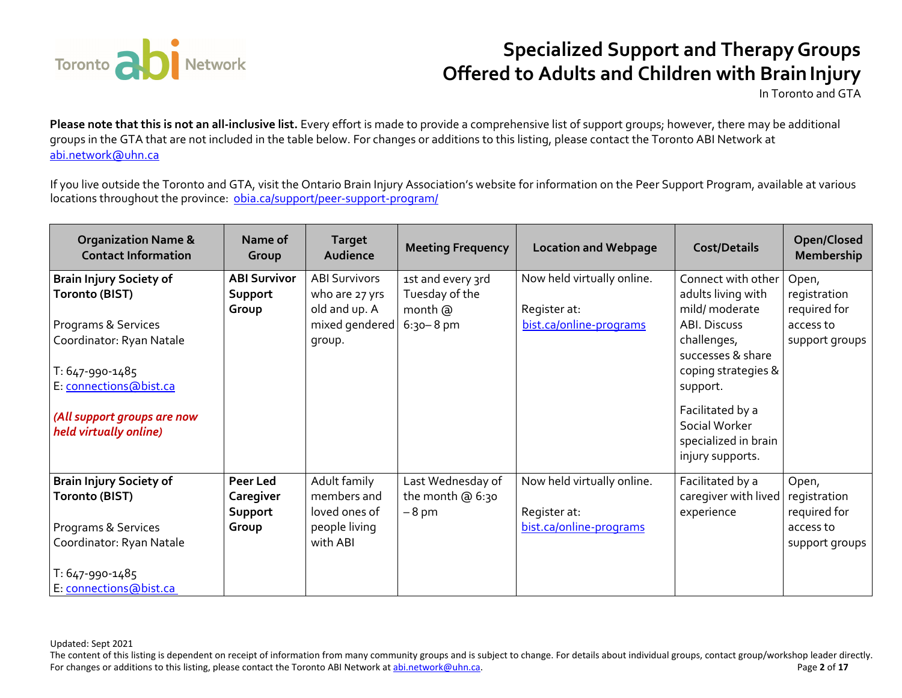

In Toronto and GTA

**Please note that this is not an all-inclusive list.** Every effort is made to provide a comprehensive list of support groups; however, there may be additional groups in the GTA that are not included in the table below. For changes or additions to this listing, please contact the Toronto ABI Network at abi.network@uhn.ca

If you live outside the Toronto and GTA, visit the Ontario Brain Injury Association's website for information on the Peer Support Program, available at various locations throughout the province: <u>obia.ca/support/peer-support-program/</u>

| <b>Organization Name &amp;</b><br><b>Contact Information</b>                                                                                                                                                     | Name of<br>Group                        | <b>Target</b><br>Audience                                                           | <b>Meeting Frequency</b>                                        | <b>Location and Webpage</b>                                           | <b>Cost/Details</b>                                                                                                                                                                    | Open/Closed<br><b>Membership</b>                                     |
|------------------------------------------------------------------------------------------------------------------------------------------------------------------------------------------------------------------|-----------------------------------------|-------------------------------------------------------------------------------------|-----------------------------------------------------------------|-----------------------------------------------------------------------|----------------------------------------------------------------------------------------------------------------------------------------------------------------------------------------|----------------------------------------------------------------------|
| <b>Brain Injury Society of</b><br><b>Toronto (BIST)</b><br>Programs & Services<br>Coordinator: Ryan Natale<br>T: 647-990-1485<br>E: connections@bist.ca<br>(All support groups are now<br>held virtually online) | <b>ABI Survivor</b><br>Support<br>Group | <b>ABI Survivors</b><br>who are 27 yrs<br>old and up. A<br>mixed gendered<br>group. | 1st and every 3rd<br>Tuesday of the<br>month @<br>$6:30 - 8$ pm | Now held virtually online.<br>Register at:<br>bist.ca/online-programs | Connect with other<br>adults living with<br>mild/ moderate<br>ABI. Discuss<br>challenges,<br>successes & share<br>coping strategies &<br>support.<br>Facilitated by a<br>Social Worker | Open,<br>registration<br>required for<br>access to<br>support groups |
|                                                                                                                                                                                                                  |                                         |                                                                                     |                                                                 |                                                                       | specialized in brain<br>injury supports.                                                                                                                                               |                                                                      |
| <b>Brain Injury Society of</b><br><b>Toronto (BIST)</b>                                                                                                                                                          | Peer Led<br>Caregiver<br>Support        | Adult family<br>members and<br>loved ones of                                        | Last Wednesday of<br>the month $@6:30$<br>$-8$ pm               | Now held virtually online.<br>Register at:                            | Facilitated by a<br>caregiver with lived<br>experience                                                                                                                                 | Open,<br>registration<br>required for                                |
| Programs & Services<br>Coordinator: Ryan Natale                                                                                                                                                                  | Group                                   | people living<br>with ABI                                                           |                                                                 | bist.ca/online-programs                                               |                                                                                                                                                                                        | access to<br>support groups                                          |
| T: 647-990-1485<br>E: connections@bist.ca                                                                                                                                                                        |                                         |                                                                                     |                                                                 |                                                                       |                                                                                                                                                                                        |                                                                      |

Updated: Sept 2021

The content of this listing is dependent on receipt of information from many community groups and is subject to change. For details about individual groups, contact group/workshop leader directly. For changes or additions to this listing, please contact the Toronto ABI Network at <u>abi.network@uhn.ca</u>. **Page 2** as **Page 2** of 17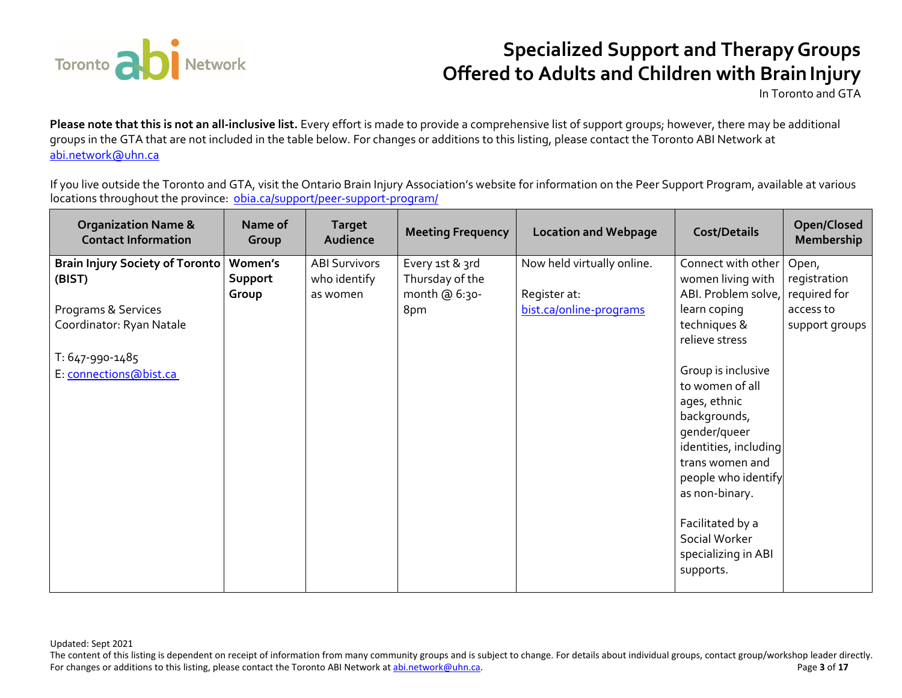

In Toronto and GTA

**Please note that this is not an all-inclusive list.** Every effort is made to provide a comprehensive list of support groups; however, there may be additional groups in the GTA that are not included in the table below. For changes or additions to this listing, please contact the Toronto ABI Network at abi.network@uhn.ca

If you live outside the Toronto and GTA, visit the Ontario Brain Injury Association's website for information on the Peer Support Program, available at various locations throughout the province: <u>obia.ca/support/peer-support-program/</u>

| <b>Organization Name &amp;</b><br><b>Contact Information</b> | Name of<br>Group | <b>Target</b><br>Audience | <b>Meeting Frequency</b> | <b>Location and Webpage</b> | <b>Cost/Details</b>   | Open/Closed<br>Membership |
|--------------------------------------------------------------|------------------|---------------------------|--------------------------|-----------------------------|-----------------------|---------------------------|
| <b>Brain Injury Society of Toronto</b>                       | Women's          | <b>ABI Survivors</b>      | Every 1st & 3rd          | Now held virtually online.  | Connect with other    | Open,                     |
| (BIST)                                                       | Support          | who identify              | Thursday of the          |                             | women living with     | registration              |
|                                                              | Group            | as women                  | month @ 6:30-            | Register at:                | ABI. Problem solve,   | required for              |
| Programs & Services                                          |                  |                           | 8pm                      | bist.ca/online-programs     | learn coping          | access to                 |
| Coordinator: Ryan Natale                                     |                  |                           |                          |                             | techniques &          | support groups            |
|                                                              |                  |                           |                          |                             | relieve stress        |                           |
| T: 647-990-1485                                              |                  |                           |                          |                             |                       |                           |
| E: connections@bist.ca                                       |                  |                           |                          |                             | Group is inclusive    |                           |
|                                                              |                  |                           |                          |                             | to women of all       |                           |
|                                                              |                  |                           |                          |                             | ages, ethnic          |                           |
|                                                              |                  |                           |                          |                             | backgrounds,          |                           |
|                                                              |                  |                           |                          |                             | gender/queer          |                           |
|                                                              |                  |                           |                          |                             | identities, including |                           |
|                                                              |                  |                           |                          |                             | trans women and       |                           |
|                                                              |                  |                           |                          |                             | people who identify   |                           |
|                                                              |                  |                           |                          |                             | as non-binary.        |                           |
|                                                              |                  |                           |                          |                             |                       |                           |
|                                                              |                  |                           |                          |                             | Facilitated by a      |                           |
|                                                              |                  |                           |                          |                             | Social Worker         |                           |
|                                                              |                  |                           |                          |                             | specializing in ABI   |                           |
|                                                              |                  |                           |                          |                             | supports.             |                           |
|                                                              |                  |                           |                          |                             |                       |                           |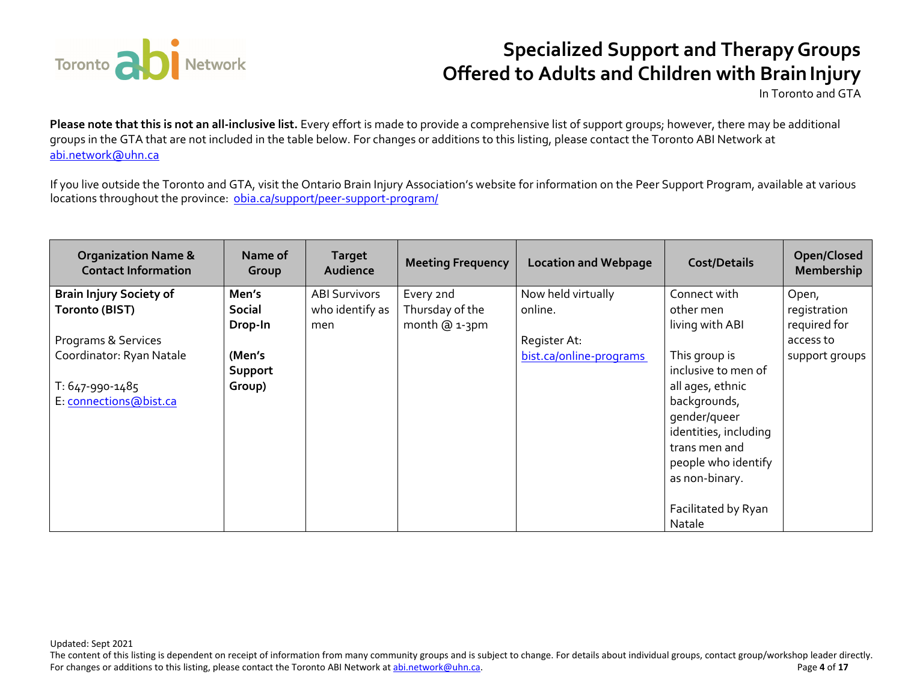

In Toronto and GTA

**Please note that this is not an all-inclusive list.** Every effort is made to provide a comprehensive list of support groups; however, there may be additional groups in the GTA that are not included in the table below. For changes or additions to this listing, please contact the Toronto ABI Network at abi.network@uhn.ca

If you live outside the Toronto and GTA, visit the Ontario Brain Injury Association's website for information on the Peer Support Program, available at various locations throughout the province: <u>obia.ca/support/peer-support-program/</u>

| <b>Organization Name &amp;</b><br><b>Contact Information</b> | Name of<br>Group | <b>Target</b><br>Audience | <b>Meeting Frequency</b> | <b>Location and Webpage</b> | <b>Cost/Details</b>   | Open/Closed<br>Membership |
|--------------------------------------------------------------|------------------|---------------------------|--------------------------|-----------------------------|-----------------------|---------------------------|
| <b>Brain Injury Society of</b>                               | Men's            | <b>ABI Survivors</b>      | Every 2nd                | Now held virtually          | Connect with          | Open,                     |
| Toronto (BIST)                                               | <b>Social</b>    | who identify as           | Thursday of the          | online.                     | other men             | registration              |
|                                                              | Drop-In          | men                       | month @ 1-3pm            |                             | living with ABI       | required for              |
| Programs & Services                                          |                  |                           |                          | Register At:                |                       | access to                 |
| Coordinator: Ryan Natale                                     | (Men's           |                           |                          | bist.ca/online-programs     | This group is         | support groups            |
|                                                              | Support          |                           |                          |                             | inclusive to men of   |                           |
| T: 647-990-1485                                              | Group)           |                           |                          |                             | all ages, ethnic      |                           |
| E: connections@bist.ca                                       |                  |                           |                          |                             | backgrounds,          |                           |
|                                                              |                  |                           |                          |                             | gender/queer          |                           |
|                                                              |                  |                           |                          |                             | identities, including |                           |
|                                                              |                  |                           |                          |                             | trans men and         |                           |
|                                                              |                  |                           |                          |                             | people who identify   |                           |
|                                                              |                  |                           |                          |                             | as non-binary.        |                           |
|                                                              |                  |                           |                          |                             |                       |                           |
|                                                              |                  |                           |                          |                             | Facilitated by Ryan   |                           |
|                                                              |                  |                           |                          |                             | Natale                |                           |

Updated: Sept 2021

The content of this listing is dependent on receipt of information from many community groups and is subject to change. For details about individual groups, contact group/workshop leader directly. For changes or additions to this listing, please contact the Toronto ABI Network at abi.network@uhn.ca. Page **4** of **17**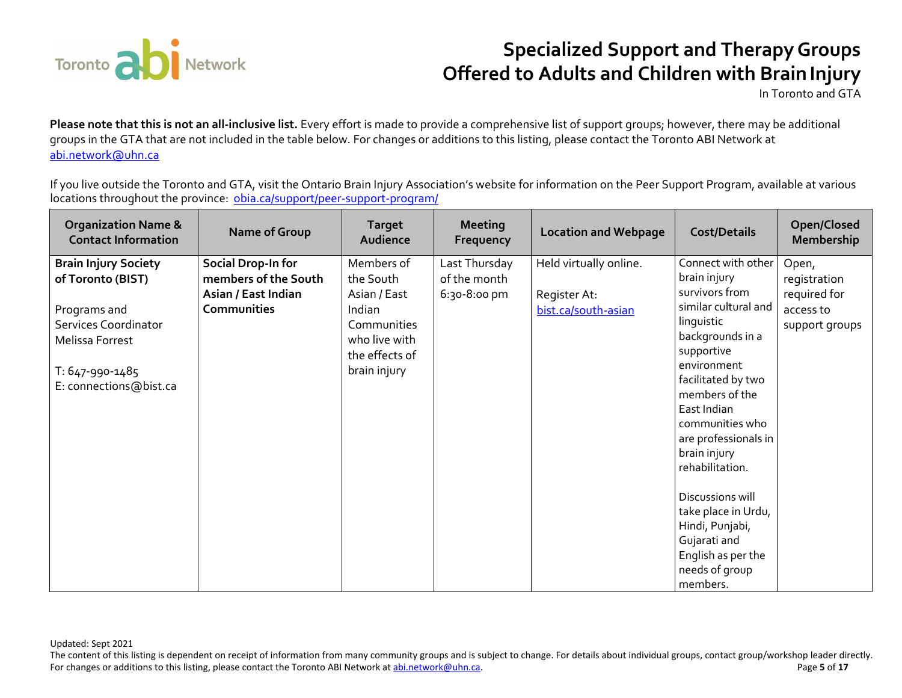

In Toronto and GTA

**Please note that this is not an all-inclusive list.** Every effort is made to provide a comprehensive list of support groups; however, there may be additional groups in the GTA that are not included in the table below. For changes or additions to this listing, please contact the Toronto ABI Network at abi.network@uhn.ca

If you live outside the Toronto and GTA, visit the Ontario Brain Injury Association's website for information on the Peer Support Program, available at various locations throughout the province: <u>obia.ca/support/peer-support-program/</u>

| <b>Organization Name &amp;</b><br><b>Contact Information</b> | <b>Name of Group</b> | <b>Target</b><br>Audience | <b>Meeting</b><br>Frequency | <b>Location and Webpage</b> | <b>Cost/Details</b>                  | Open/Closed<br>Membership |
|--------------------------------------------------------------|----------------------|---------------------------|-----------------------------|-----------------------------|--------------------------------------|---------------------------|
| <b>Brain Injury Society</b>                                  | Social Drop-In for   | Members of                | Last Thursday               | Held virtually online.      | Connect with other                   | Open,                     |
| of Toronto (BIST)                                            | members of the South | the South                 | of the month                |                             | brain injury                         | registration              |
|                                                              | Asian / East Indian  | Asian / East              | 6:30-8:00 pm                | Register At:                | survivors from                       | required for              |
| Programs and                                                 | <b>Communities</b>   | Indian                    |                             | bist.ca/south-asian         | similar cultural and                 | access to                 |
| <b>Services Coordinator</b>                                  |                      | Communities               |                             |                             | linguistic                           | support groups            |
| Melissa Forrest                                              |                      | who live with             |                             |                             | backgrounds in a                     |                           |
|                                                              |                      | the effects of            |                             |                             | supportive                           |                           |
| T: 647-990-1485                                              |                      | brain injury              |                             |                             | environment                          |                           |
| E: connections@bist.ca                                       |                      |                           |                             |                             | facilitated by two<br>members of the |                           |
|                                                              |                      |                           |                             |                             | East Indian                          |                           |
|                                                              |                      |                           |                             |                             | communities who                      |                           |
|                                                              |                      |                           |                             |                             | are professionals in                 |                           |
|                                                              |                      |                           |                             |                             | brain injury                         |                           |
|                                                              |                      |                           |                             |                             | rehabilitation.                      |                           |
|                                                              |                      |                           |                             |                             |                                      |                           |
|                                                              |                      |                           |                             |                             | Discussions will                     |                           |
|                                                              |                      |                           |                             |                             | take place in Urdu,                  |                           |
|                                                              |                      |                           |                             |                             | Hindi, Punjabi,                      |                           |
|                                                              |                      |                           |                             |                             | Gujarati and                         |                           |
|                                                              |                      |                           |                             |                             | English as per the                   |                           |
|                                                              |                      |                           |                             |                             | needs of group                       |                           |
|                                                              |                      |                           |                             |                             | members.                             |                           |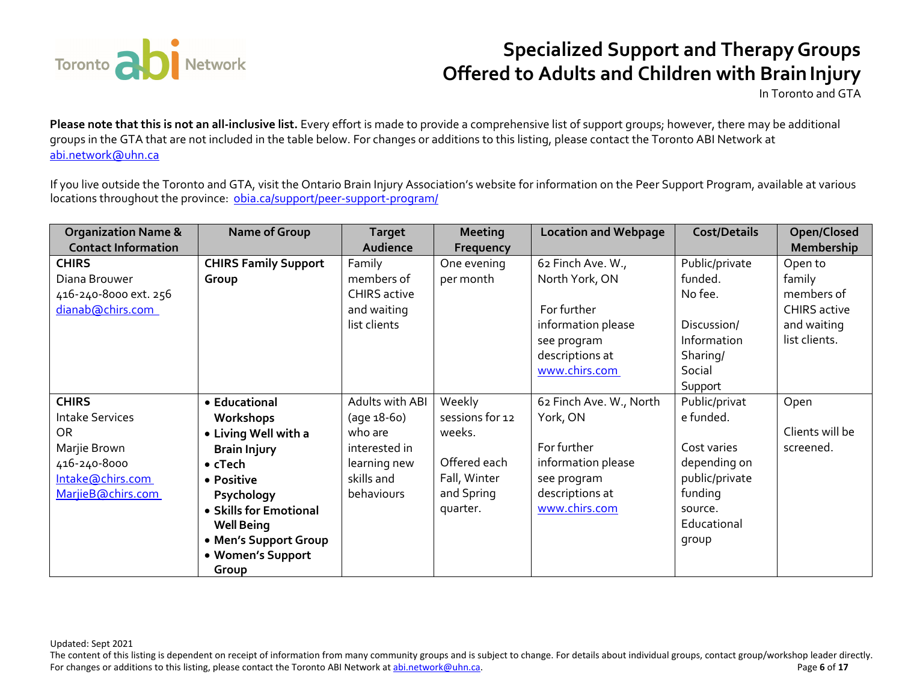

In Toronto and GTA

**Please note that this is not an all-inclusive list.** Every effort is made to provide a comprehensive list of support groups; however, there may be additional groups in the GTA that are not included in the table below. For changes or additions to this listing, please contact the Toronto ABI Network at abi.network@uhn.ca

If you live outside the Toronto and GTA, visit the Ontario Brain Injury Association's website for information on the Peer Support Program, available at various locations throughout the province: <u>obia.ca/support/peer-support-program/</u>

| <b>Organization Name &amp;</b> | Name of Group               | <b>Target</b>       | <b>Meeting</b>   | <b>Location and Webpage</b> | <b>Cost/Details</b> | Open/Closed         |
|--------------------------------|-----------------------------|---------------------|------------------|-----------------------------|---------------------|---------------------|
| <b>Contact Information</b>     |                             | Audience            | <b>Frequency</b> |                             |                     | <b>Membership</b>   |
| <b>CHIRS</b>                   | <b>CHIRS Family Support</b> | Family              | One evening      | 62 Finch Ave. W.,           | Public/private      | Open to             |
| Diana Brouwer                  | Group                       | members of          | per month        | North York, ON              | funded.             | family              |
| 416-240-8000 ext. 256          |                             | <b>CHIRS active</b> |                  |                             | No fee.             | members of          |
| dianab@chirs.com               |                             | and waiting         |                  | For further                 |                     | <b>CHIRS</b> active |
|                                |                             | list clients        |                  | information please          | Discussion/         | and waiting         |
|                                |                             |                     |                  | see program                 | Information         | list clients.       |
|                                |                             |                     |                  | descriptions at             | Sharing/            |                     |
|                                |                             |                     |                  | www.chirs.com               | Social              |                     |
|                                |                             |                     |                  |                             | Support             |                     |
| <b>CHIRS</b>                   | • Educational               | Adults with ABI     | Weekly           | 62 Finch Ave. W., North     | Public/privat       | Open                |
| <b>Intake Services</b>         | Workshops                   | (age 18-60)         | sessions for 12  | York, ON                    | e funded.           |                     |
| OR                             | • Living Well with a        | who are             | weeks.           |                             |                     | Clients will be     |
| Marjie Brown                   | <b>Brain Injury</b>         | interested in       |                  | For further                 | Cost varies         | screened.           |
| 416-240-8000                   | $\bullet$ cTech             | learning new        | Offered each     | information please          | depending on        |                     |
| Intake@chirs.com               | • Positive                  | skills and          | Fall, Winter     | see program                 | public/private      |                     |
| MarjieB@chirs.com              | Psychology                  | behaviours          | and Spring       | descriptions at             | funding             |                     |
|                                | • Skills for Emotional      |                     | quarter.         | www.chirs.com               | source.             |                     |
|                                | <b>Well Being</b>           |                     |                  |                             | Educational         |                     |
|                                | • Men's Support Group       |                     |                  |                             | group               |                     |
|                                | • Women's Support           |                     |                  |                             |                     |                     |
|                                | Group                       |                     |                  |                             |                     |                     |

Updated: Sept 2021

The content of this listing is dependent on receipt of information from many community groups and is subject to change. For details about individual groups, contact group/workshop leader directly. For changes or additions to this listing, please contact the Toronto ABI Network at <u>abi.network@uhn.ca</u>. **Page 6** of 17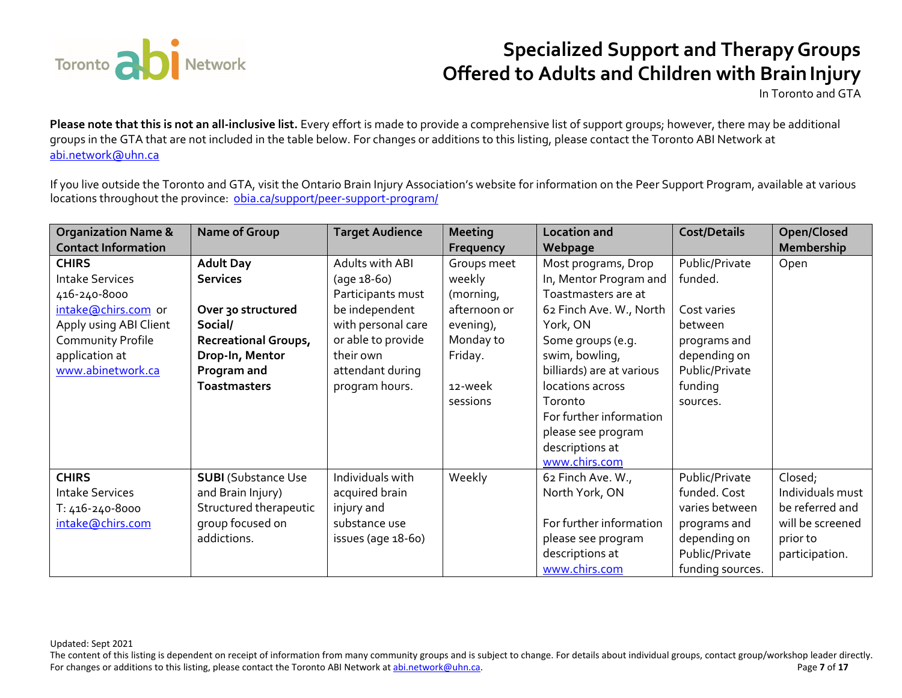

In Toronto and GTA

**Please note that this is not an all-inclusive list.** Every effort is made to provide a comprehensive list of support groups; however, there may be additional groups in the GTA that are not included in the table below. For changes or additions to this listing, please contact the Toronto ABI Network at abi.network@uhn.ca

If you live outside the Toronto and GTA, visit the Ontario Brain Injury Association's website for information on the Peer Support Program, available at various locations throughout the province: <u>obia.ca/support/peer-support-program/</u>

| <b>Organization Name &amp;</b> | Name of Group              | <b>Target Audience</b> | <b>Meeting</b> | <b>Location and</b>       | <b>Cost/Details</b> | Open/Closed      |
|--------------------------------|----------------------------|------------------------|----------------|---------------------------|---------------------|------------------|
| <b>Contact Information</b>     |                            |                        | Frequency      | Webpage                   |                     | Membership       |
| <b>CHIRS</b>                   | <b>Adult Day</b>           | Adults with ABI        | Groups meet    | Most programs, Drop       | Public/Private      | Open             |
| <b>Intake Services</b>         | <b>Services</b>            | (age 18-60)            | weekly         | In, Mentor Program and    | funded.             |                  |
| 416-240-8000                   |                            | Participants must      | (morning,      | Toastmasters are at       |                     |                  |
| intake@chirs.com or            | Over 30 structured         | be independent         | afternoon or   | 62 Finch Ave. W., North   | Cost varies         |                  |
| Apply using ABI Client         | Social/                    | with personal care     | evening),      | York, ON                  | between             |                  |
| Community Profile              | Recreational Groups,       | or able to provide     | Monday to      | Some groups (e.g.         | programs and        |                  |
| application at                 | Drop-In, Mentor            | their own              | Friday.        | swim, bowling,            | depending on        |                  |
| www.abinetwork.ca              | Program and                | attendant during       |                | billiards) are at various | Public/Private      |                  |
|                                | <b>Toastmasters</b>        | program hours.         | 12-week        | locations across          | funding             |                  |
|                                |                            |                        | sessions       | Toronto                   | sources.            |                  |
|                                |                            |                        |                | For further information   |                     |                  |
|                                |                            |                        |                | please see program        |                     |                  |
|                                |                            |                        |                | descriptions at           |                     |                  |
|                                |                            |                        |                | www.chirs.com             |                     |                  |
| <b>CHIRS</b>                   | <b>SUBI</b> (Substance Use | Individuals with       | Weekly         | 62 Finch Ave. W.,         | Public/Private      | Closed;          |
| <b>Intake Services</b>         | and Brain Injury)          | acquired brain         |                | North York, ON            | funded. Cost        | Individuals must |
| T: 416-240-8000                | Structured therapeutic     | injury and             |                |                           | varies between      | be referred and  |
| intake@chirs.com               | group focused on           | substance use          |                | For further information   | programs and        | will be screened |
|                                | addictions.                | issues (age 18-60)     |                | please see program        | depending on        | prior to         |
|                                |                            |                        |                | descriptions at           | Public/Private      | participation.   |
|                                |                            |                        |                | www.chirs.com             | funding sources.    |                  |

Updated: Sept 2021

The content of this listing is dependent on receipt of information from many community groups and is subject to change. For details about individual groups, contact group/workshop leader directly. For changes or additions to this listing, please contact the Toronto ABI Network at abi.network@uhn.ca. Page **7** of **17**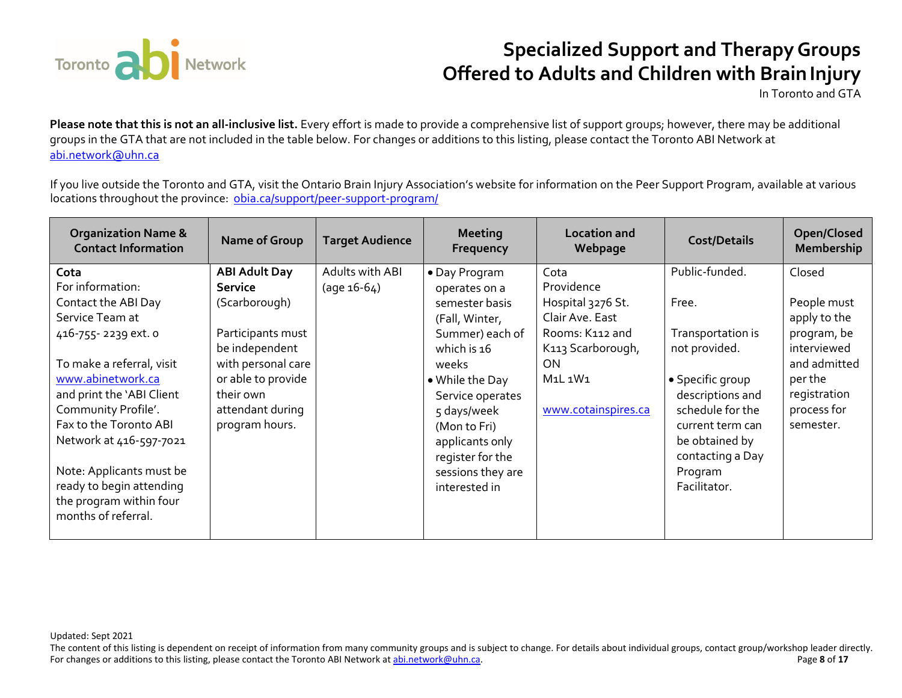

In Toronto and GTA

**Please note that this is not an all-inclusive list.** Every effort is made to provide a comprehensive list of support groups; however, there may be additional groups in the GTA that are not included in the table below. For changes or additions to this listing, please contact the Toronto ABI Network at abi.network@uhn.ca

If you live outside the Toronto and GTA, visit the Ontario Brain Injury Association's website for information on the Peer Support Program, available at various locations throughout the province: <u>obia.ca/support/peer-support-program/</u>

| <b>Organization Name &amp;</b><br><b>Contact Information</b>                                                                                                                                                                                                                     | Name of Group                                                                                                                                                                          | <b>Target Audience</b>           | <b>Meeting</b><br>Frequency                                                                                                                                                                                                                     | <b>Location and</b><br>Webpage                                                                                                                                                         | <b>Cost/Details</b>                                                                                                                                                                            | Open/Closed<br>Membership                                                                                                                  |
|----------------------------------------------------------------------------------------------------------------------------------------------------------------------------------------------------------------------------------------------------------------------------------|----------------------------------------------------------------------------------------------------------------------------------------------------------------------------------------|----------------------------------|-------------------------------------------------------------------------------------------------------------------------------------------------------------------------------------------------------------------------------------------------|----------------------------------------------------------------------------------------------------------------------------------------------------------------------------------------|------------------------------------------------------------------------------------------------------------------------------------------------------------------------------------------------|--------------------------------------------------------------------------------------------------------------------------------------------|
| Cota<br>For information:<br>Contact the ABI Day<br>Service Team at<br>416-755-2239 ext. o<br>To make a referral, visit<br>www.abinetwork.ca<br>and print the 'ABI Client<br>Community Profile'.<br>Fax to the Toronto ABI<br>Network at 416-597-7021<br>Note: Applicants must be | <b>ABI Adult Day</b><br>Service<br>(Scarborough)<br>Participants must<br>be independent<br>with personal care<br>or able to provide<br>their own<br>attendant during<br>program hours. | Adults with ABI<br>$(age 16-64)$ | • Day Program<br>operates on a<br>semester basis<br>(Fall, Winter,<br>Summer) each of<br>which is 16<br>weeks<br>• While the Day<br>Service operates<br>5 days/week<br>(Mon to Fri)<br>applicants only<br>register for the<br>sessions they are | Cota<br>Providence<br>Hospital 3276 St.<br>Clair Ave. East<br>Rooms: K112 and<br>K113 Scarborough,<br><b>ON</b><br>M <sub>1</sub> L <sub>1</sub> W <sub>1</sub><br>www.cotainspires.ca | Public-funded.<br>Free.<br>Transportation is<br>not provided.<br>• Specific group<br>descriptions and<br>schedule for the<br>current term can<br>be obtained by<br>contacting a Day<br>Program | Closed<br>People must<br>apply to the<br>program, be<br>interviewed<br>and admitted<br>per the<br>registration<br>process for<br>semester. |
| ready to begin attending<br>the program within four<br>months of referral.                                                                                                                                                                                                       |                                                                                                                                                                                        |                                  | interested in                                                                                                                                                                                                                                   |                                                                                                                                                                                        | Facilitator.                                                                                                                                                                                   |                                                                                                                                            |

Updated: Sept 2021

The content of this listing is dependent on receipt of information from many community groups and is subject to change. For details about individual groups, contact group/workshop leader directly. For changes or additions to this listing, please contact the Toronto ABI Network at abi.network@uhn.ca. Page **8** of **17**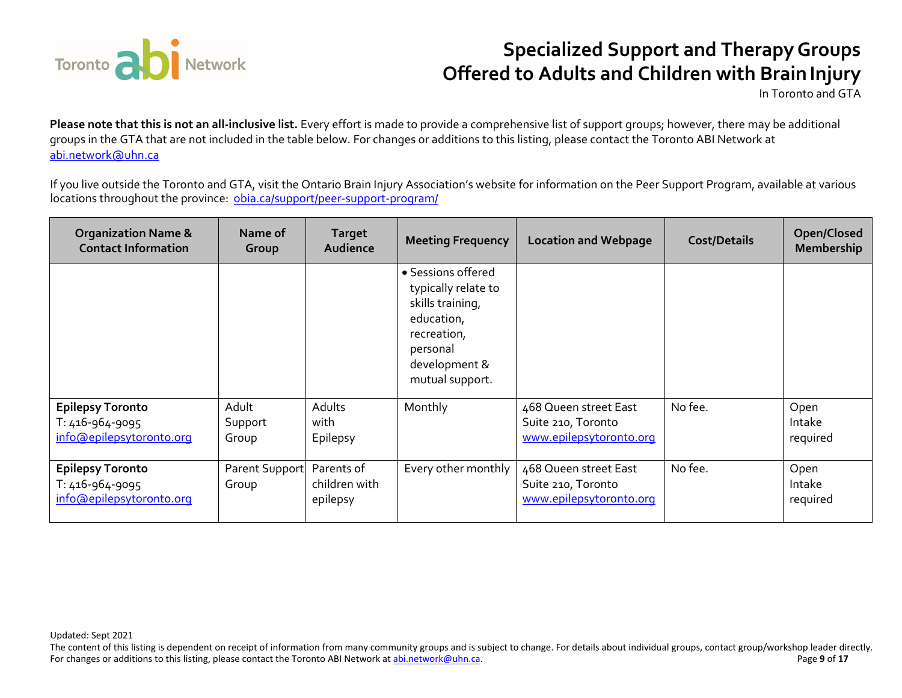

In Toronto and GTA

**Please note that this is not an all-inclusive list.** Every effort is made to provide a comprehensive list of support groups; however, there may be additional groups in the GTA that are not included in the table below. For changes or additions to this listing, please contact the Toronto ABI Network at abi.network@uhn.ca

If you live outside the Toronto and GTA, visit the Ontario Brain Injury Association's website for information on the Peer Support Program, available at various locations throughout the province: <u>obia.ca/support/peer-support-program/</u>

| <b>Organization Name &amp;</b><br><b>Contact Information</b>           | Name of<br>Group          | <b>Target</b><br>Audience               | <b>Meeting Frequency</b>                                                                                                                   | <b>Location and Webpage</b>                                            | <b>Cost/Details</b> | Open/Closed<br>Membership  |
|------------------------------------------------------------------------|---------------------------|-----------------------------------------|--------------------------------------------------------------------------------------------------------------------------------------------|------------------------------------------------------------------------|---------------------|----------------------------|
|                                                                        |                           |                                         | • Sessions offered<br>typically relate to<br>skills training,<br>education,<br>recreation,<br>personal<br>development &<br>mutual support. |                                                                        |                     |                            |
| <b>Epilepsy Toronto</b><br>T: 416-964-9095<br>info@epilepsytoronto.org | Adult<br>Support<br>Group | Adults<br>with<br>Epilepsy              | Monthly                                                                                                                                    | 468 Queen street East<br>Suite 210, Toronto<br>www.epilepsytoronto.org | No fee.             | Open<br>Intake<br>required |
| <b>Epilepsy Toronto</b><br>T: 416-964-9095<br>info@epilepsytoronto.org | Parent Support<br>Group   | Parents of<br>children with<br>epilepsy | Every other monthly                                                                                                                        | 468 Queen street East<br>Suite 210, Toronto<br>www.epilepsytoronto.org | No fee.             | Open<br>Intake<br>required |

Updated: Sept 2021

The content of this listing is dependent on receipt of information from many community groups and is subject to change. For details about individual groups, contact group/workshop leader directly. For changes or additions to this listing, please contact the Toronto ABI Network at abi.network@uhn.ca. Page **9** of **17**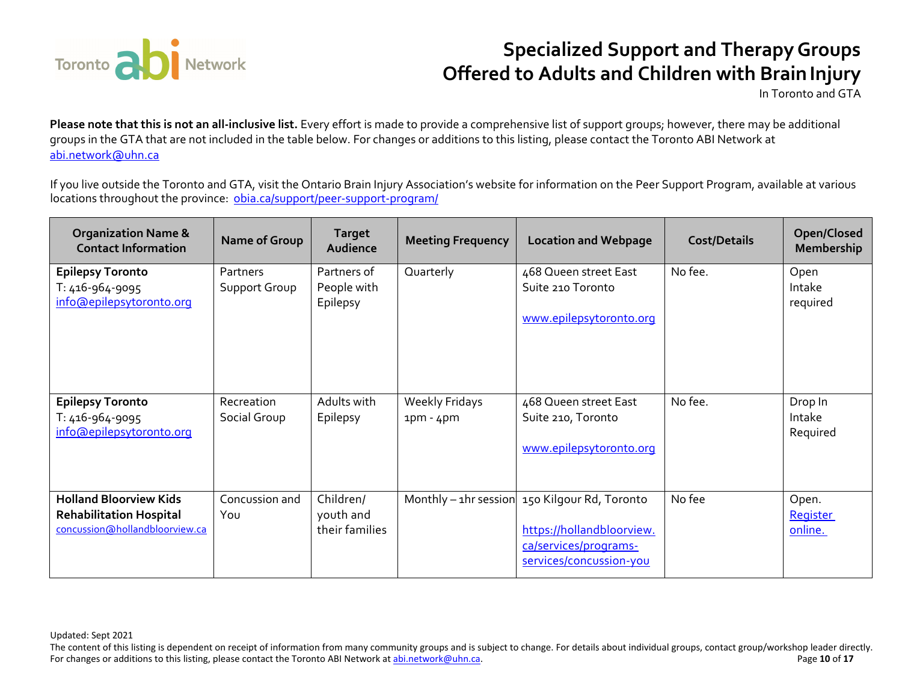

In Toronto and GTA

**Please note that this is not an all-inclusive list.** Every effort is made to provide a comprehensive list of support groups; however, there may be additional groups in the GTA that are not included in the table below. For changes or additions to this listing, please contact the Toronto ABI Network at abi.network@uhn.ca

If you live outside the Toronto and GTA, visit the Ontario Brain Injury Association's website for information on the Peer Support Program, available at various locations throughout the province: <u>obia.ca/support/peer-support-program/</u>

| <b>Organization Name &amp;</b><br><b>Contact Information</b>                                      | Name of Group              | <b>Target</b><br>Audience                | <b>Meeting Frequency</b>             | <b>Location and Webpage</b>                                                                                                       | <b>Cost/Details</b> | Open/Closed<br><b>Membership</b>    |
|---------------------------------------------------------------------------------------------------|----------------------------|------------------------------------------|--------------------------------------|-----------------------------------------------------------------------------------------------------------------------------------|---------------------|-------------------------------------|
| <b>Epilepsy Toronto</b><br>T: 416-964-9095<br>info@epilepsytoronto.org                            | Partners<br>Support Group  | Partners of<br>People with<br>Epilepsy   | Quarterly                            | 468 Queen street East<br>Suite 210 Toronto<br>www.epilepsytoronto.org                                                             | No fee.             | Open<br>Intake<br>required          |
| <b>Epilepsy Toronto</b><br>T: 416-964-9095<br>info@epilepsytoronto.org                            | Recreation<br>Social Group | Adults with<br>Epilepsy                  | <b>Weekly Fridays</b><br>$1pm - 4pm$ | 468 Queen street East<br>Suite 210, Toronto<br>www.epilepsytoronto.org                                                            | No fee.             | Drop In<br>Intake<br>Required       |
| <b>Holland Bloorview Kids</b><br><b>Rehabilitation Hospital</b><br>concussion@hollandbloorview.ca | Concussion and<br>You      | Children/<br>youth and<br>their families |                                      | Monthly – $1$ hr session 150 Kilgour Rd, Toronto<br>https://hollandbloorview.<br>ca/services/programs-<br>services/concussion-you | No fee              | Open.<br><b>Register</b><br>online. |

Updated: Sept 2021

The content of this listing is dependent on receipt of information from many community groups and is subject to change. For details about individual groups, contact group/workshop leader directly. For changes or additions to this listing, please contact the Toronto ABI Network at abi.network@uhn.ca. Page **10** of **17**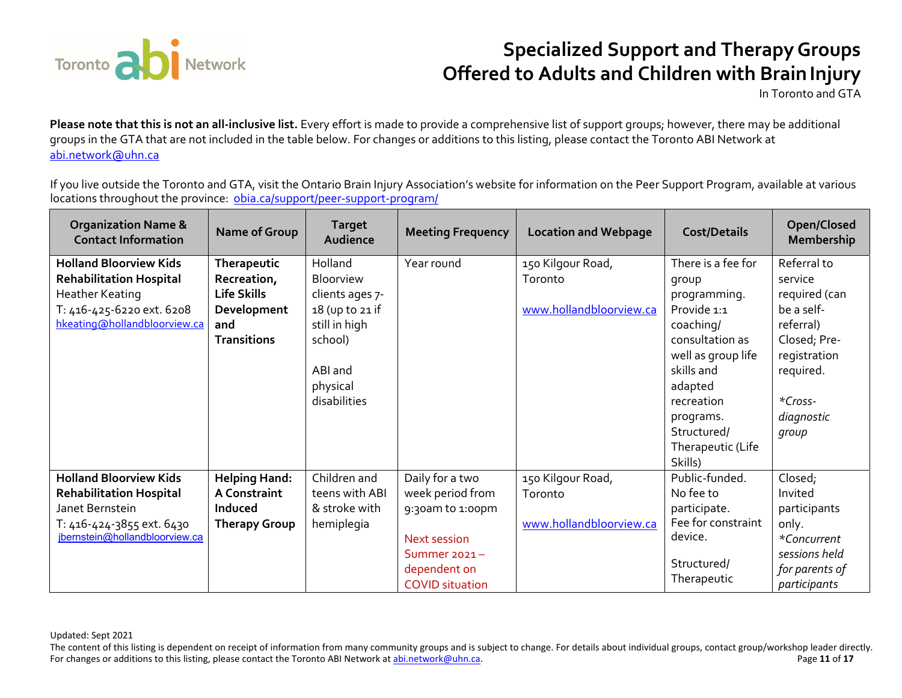

In Toronto and GTA

**Please note that this is not an all-inclusive list.** Every effort is made to provide a comprehensive list of support groups; however, there may be additional groups in the GTA that are not included in the table below. For changes or additions to this listing, please contact the Toronto ABI Network at abi.network@uhn.ca

If you live outside the Toronto and GTA, visit the Ontario Brain Injury Association's website for information on the Peer Support Program, available at various locations throughout the province: <u>obia.ca/support/peer-support-program/</u>

| <b>Organization Name &amp;</b><br><b>Contact Information</b> | Name of Group        | <b>Target</b><br>Audience | <b>Meeting Frequency</b> | <b>Location and Webpage</b> | <b>Cost/Details</b> | Open/Closed<br>Membership |
|--------------------------------------------------------------|----------------------|---------------------------|--------------------------|-----------------------------|---------------------|---------------------------|
| <b>Holland Bloorview Kids</b>                                | Therapeutic          | Holland                   | Year round               | 150 Kilgour Road,           | There is a fee for  | Referral to               |
| <b>Rehabilitation Hospital</b>                               | Recreation,          | Bloorview                 |                          | Toronto                     | group               | service                   |
| Heather Keating                                              | Life Skills          | clients ages 7-           |                          |                             | programming.        | required (can             |
| T: 416-425-6220 ext. 6208                                    | Development          | 18 (up to 21 if           |                          | www.hollandbloorview.ca     | Provide 1:1         | be a self-                |
| hkeating@hollandbloorview.ca                                 | and                  | still in high             |                          |                             | coaching/           | referral)                 |
|                                                              | <b>Transitions</b>   | school)                   |                          |                             | consultation as     | Closed; Pre-              |
|                                                              |                      |                           |                          |                             | well as group life  | registration              |
|                                                              |                      | ABI and                   |                          |                             | skills and          | required.                 |
|                                                              |                      | physical                  |                          |                             | adapted             |                           |
|                                                              |                      | disabilities              |                          |                             | recreation          | *Cross-                   |
|                                                              |                      |                           |                          |                             | programs.           | diagnostic                |
|                                                              |                      |                           |                          |                             | Structured/         | group                     |
|                                                              |                      |                           |                          |                             | Therapeutic (Life   |                           |
|                                                              |                      |                           |                          |                             | Skills)             |                           |
| <b>Holland Bloorview Kids</b>                                | <b>Helping Hand:</b> | Children and              | Daily for a two          | 150 Kilgour Road,           | Public-funded.      | Closed;                   |
| <b>Rehabilitation Hospital</b>                               | <b>A Constraint</b>  | teens with ABI            | week period from         | Toronto                     | No fee to           | Invited                   |
| Janet Bernstein                                              | Induced              | & stroke with             | 9:30am to 1:00pm         |                             | participate.        | participants              |
| T: 416-424-3855 ext. 6430                                    | <b>Therapy Group</b> | hemiplegia                |                          | www.hollandbloorview.ca     | Fee for constraint  | only.                     |
| jbernstein@hollandbloorview.ca                               |                      |                           | <b>Next session</b>      |                             | device.             | *Concurrent               |
|                                                              |                      |                           | Summer $2021 -$          |                             | Structured/         | sessions held             |
|                                                              |                      |                           | dependent on             |                             | Therapeutic         | for parents of            |
|                                                              |                      |                           | <b>COVID</b> situation   |                             |                     | participants              |

Updated: Sept 2021

The content of this listing is dependent on receipt of information from many community groups and is subject to change. For details about individual groups, contact group/workshop leader directly. For changes or additions to this listing, please contact the Toronto ABI Network at abi.network@uhn.ca. Page **11** of **17**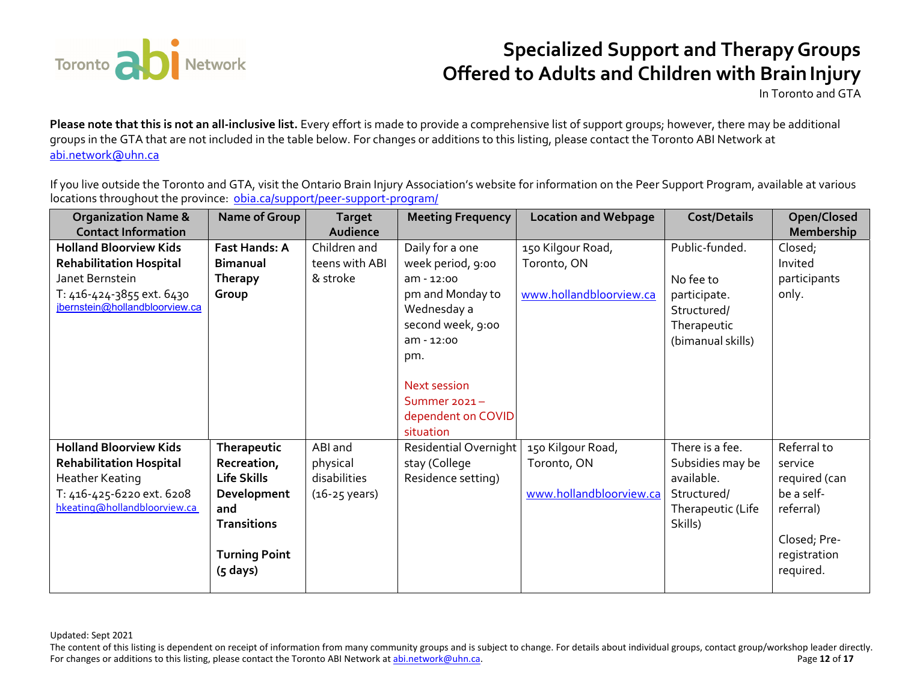

In Toronto and GTA

**Please note that this is not an all-inclusive list.** Every effort is made to provide a comprehensive list of support groups; however, there may be additional groups in the GTA that are not included in the table below. For changes or additions to this listing, please contact the Toronto ABI Network at abi.network@uhn.ca

If you live outside the Toronto and GTA, visit the Ontario Brain Injury Association's website for information on the Peer Support Program, available at various locations throughout the province: <u>obia.ca/support/peer-support-program/</u>

| <b>Organization Name &amp;</b> | Name of Group        | <b>Target</b>           | <b>Meeting Frequency</b> | <b>Location and Webpage</b> | <b>Cost/Details</b> | Open/Closed   |
|--------------------------------|----------------------|-------------------------|--------------------------|-----------------------------|---------------------|---------------|
| <b>Contact Information</b>     |                      | Audience                |                          |                             |                     | Membership    |
| <b>Holland Bloorview Kids</b>  | <b>Fast Hands: A</b> | Children and            | Daily for a one          | 150 Kilgour Road,           | Public-funded.      | Closed;       |
| <b>Rehabilitation Hospital</b> | <b>Bimanual</b>      | teens with ABI          | week period, 9:00        | Toronto, ON                 |                     | Invited       |
| Janet Bernstein                | <b>Therapy</b>       | & stroke                | $am - 12:00$             |                             | No fee to           | participants  |
| T: 416-424-3855 ext. 6430      | Group                |                         | pm and Monday to         | www.hollandbloorview.ca     | participate.        | only.         |
| jbernstein@hollandbloorview.ca |                      |                         | Wednesday a              |                             | Structured/         |               |
|                                |                      |                         | second week, 9:00        |                             | Therapeutic         |               |
|                                |                      |                         | $am - 12:00$             |                             | (bimanual skills)   |               |
|                                |                      |                         | pm.                      |                             |                     |               |
|                                |                      |                         |                          |                             |                     |               |
|                                |                      |                         | Next session             |                             |                     |               |
|                                |                      |                         | Summer $2021 -$          |                             |                     |               |
|                                |                      |                         | dependent on COVID       |                             |                     |               |
|                                |                      |                         | situation                |                             |                     |               |
| <b>Holland Bloorview Kids</b>  | Therapeutic          | ABI and                 | Residential Overnight    | 150 Kilgour Road,           | There is a fee.     | Referral to   |
| <b>Rehabilitation Hospital</b> | Recreation,          | physical                | stay (College            | Toronto, ON                 | Subsidies may be    | service       |
| Heather Keating                | Life Skills          | disabilities            | Residence setting)       |                             | available.          | required (can |
| T: 416-425-6220 ext. 6208      | Development          | $(16-25 \text{ years})$ |                          | www.hollandbloorview.ca     | Structured/         | be a self-    |
| hkeating@hollandbloorview.ca   | and                  |                         |                          |                             | Therapeutic (Life   | referral)     |
|                                | <b>Transitions</b>   |                         |                          |                             | Skills)             |               |
|                                |                      |                         |                          |                             |                     | Closed; Pre-  |
|                                | <b>Turning Point</b> |                         |                          |                             |                     | registration  |
|                                | $(5$ days)           |                         |                          |                             |                     | required.     |
|                                |                      |                         |                          |                             |                     |               |

Updated: Sept 2021

The content of this listing is dependent on receipt of information from many community groups and is subject to change. For details about individual groups, contact group/workshop leader directly. For changes or additions to this listing, please contact the Toronto ABI Network at abi.network@uhn.ca. Page **12** of **17**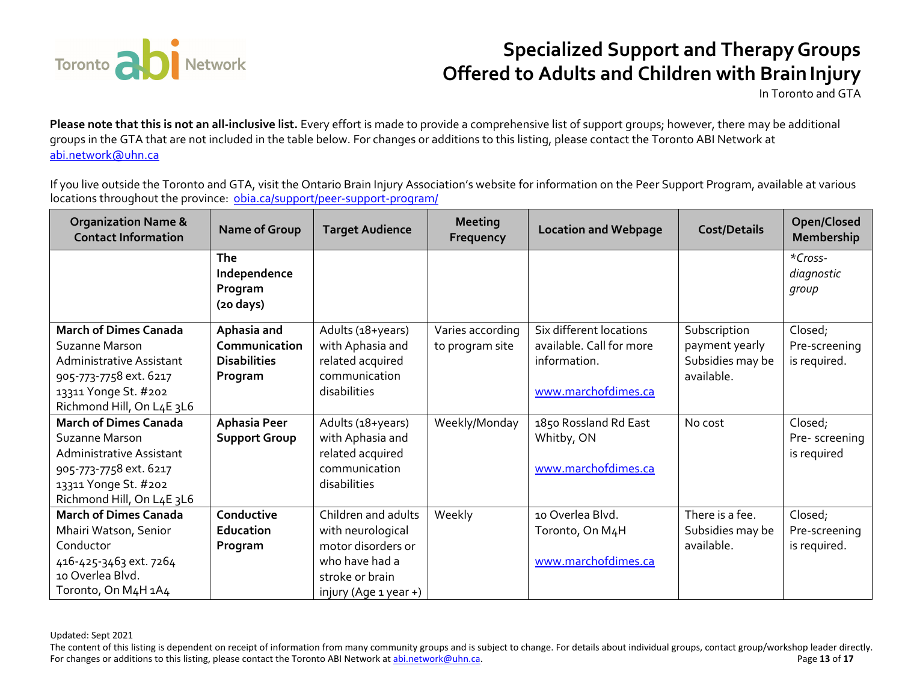

In Toronto and GTA

**Please note that this is not an all-inclusive list.** Every effort is made to provide a comprehensive list of support groups; however, there may be additional groups in the GTA that are not included in the table below. For changes or additions to this listing, please contact the Toronto ABI Network at abi.network@uhn.ca

If you live outside the Toronto and GTA, visit the Ontario Brain Injury Association's website for information on the Peer Support Program, available at various locations throughout the province: <u>obia.ca/support/peer-support-program/</u>

| <b>Organization Name &amp;</b><br><b>Contact Information</b> | <b>Name of Group</b>                                  | <b>Target Audience</b> | <b>Meeting</b><br>Frequency | <b>Location and Webpage</b> | <b>Cost/Details</b> | Open/Closed<br><b>Membership</b> |
|--------------------------------------------------------------|-------------------------------------------------------|------------------------|-----------------------------|-----------------------------|---------------------|----------------------------------|
|                                                              | The<br>Independence<br>Program<br>$(20 \text{ days})$ |                        |                             |                             |                     | *Cross-<br>diagnostic<br>group   |
| <b>March of Dimes Canada</b>                                 | Aphasia and                                           | Adults (18+years)      | Varies according            | Six different locations     | Subscription        | Closed;                          |
| Suzanne Marson                                               | Communication                                         | with Aphasia and       | to program site             | available. Call for more    | payment yearly      | Pre-screening                    |
| <b>Administrative Assistant</b>                              | <b>Disabilities</b>                                   | related acquired       |                             | information.                | Subsidies may be    | is required.                     |
| 905-773-7758 ext. 6217                                       | Program                                               | communication          |                             |                             | available.          |                                  |
| 13311 Yonge St. #202                                         |                                                       | disabilities           |                             | www.marchofdimes.ca         |                     |                                  |
| Richmond Hill, On L4E 3L6                                    |                                                       |                        |                             |                             |                     |                                  |
| <b>March of Dimes Canada</b>                                 | <b>Aphasia Peer</b>                                   | Adults (18+years)      | Weekly/Monday               | 1850 Rossland Rd East       | No cost             | Closed;                          |
| Suzanne Marson                                               | <b>Support Group</b>                                  | with Aphasia and       |                             | Whitby, ON                  |                     | Pre-screening                    |
| Administrative Assistant                                     |                                                       | related acquired       |                             |                             |                     | is required                      |
| 905-773-7758 ext. 6217                                       |                                                       | communication          |                             | www.marchofdimes.ca         |                     |                                  |
| 13311 Yonge St. #202                                         |                                                       | disabilities           |                             |                             |                     |                                  |
| Richmond Hill, On L4E 3L6                                    |                                                       |                        |                             |                             |                     |                                  |
| <b>March of Dimes Canada</b>                                 | Conductive                                            | Children and adults    | Weekly                      | 10 Overlea Blvd.            | There is a fee.     | Closed;                          |
| Mhairi Watson, Senior                                        | <b>Education</b>                                      | with neurological      |                             | Toronto, On M4H             | Subsidies may be    | Pre-screening                    |
| Conductor                                                    | Program                                               | motor disorders or     |                             |                             | available.          | is required.                     |
| 416-425-3463 ext. 7264                                       |                                                       | who have had a         |                             | www.marchofdimes.ca         |                     |                                  |
| 10 Overlea Blvd.                                             |                                                       | stroke or brain        |                             |                             |                     |                                  |
| Toronto, On M4H 1A4                                          |                                                       | injury (Age 1 year +)  |                             |                             |                     |                                  |

The content of this listing is dependent on receipt of information from many community groups and is subject to change. For details about individual groups, contact group/workshop leader directly. For changes or additions to this listing, please contact the Toronto ABI Network at abi.network@uhn.ca. Page **13** of **17**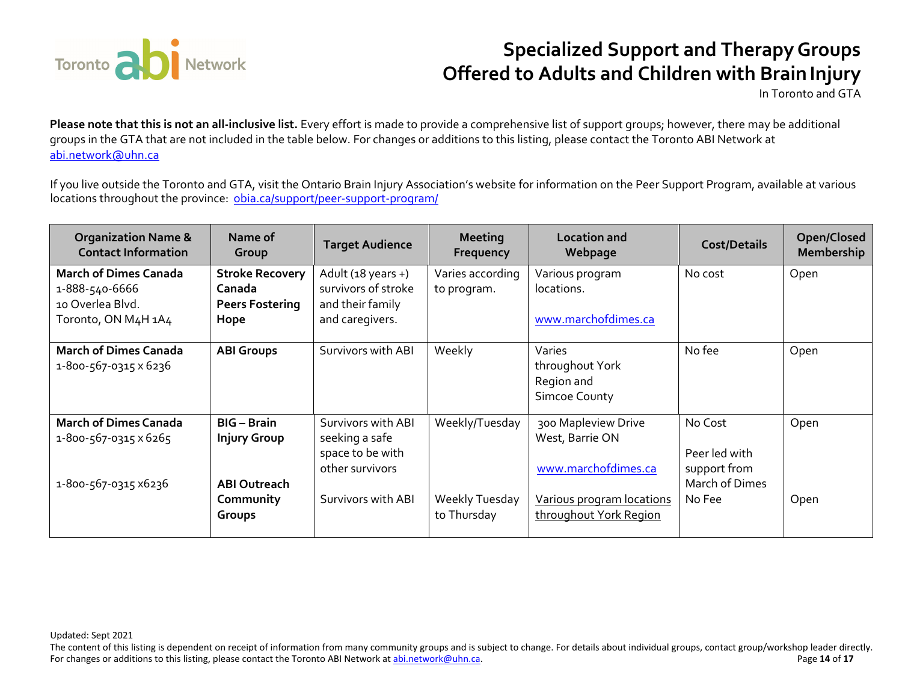

In Toronto and GTA

**Please note that this is not an all-inclusive list.** Every effort is made to provide a comprehensive list of support groups; however, there may be additional groups in the GTA that are not included in the table below. For changes or additions to this listing, please contact the Toronto ABI Network at abi.network@uhn.ca

If you live outside the Toronto and GTA, visit the Ontario Brain Injury Association's website for information on the Peer Support Program, available at various locations throughout the province: <u>obia.ca/support/peer-support-program/</u>

| <b>Organization Name &amp;</b><br><b>Contact Information</b> | Name of<br>Group                 | <b>Target Audience</b>              | <b>Meeting</b><br>Frequency   | <b>Location and</b><br>Webpage                                  | <b>Cost/Details</b> | Open/Closed<br><b>Membership</b> |
|--------------------------------------------------------------|----------------------------------|-------------------------------------|-------------------------------|-----------------------------------------------------------------|---------------------|----------------------------------|
| <b>March of Dimes Canada</b>                                 | <b>Stroke Recovery</b>           | Adult $(18 \text{ years} +)$        | Varies according              | Various program                                                 | No cost             | Open                             |
| 1-888-540-6666<br>10 Overlea Blyd.                           | Canada<br><b>Peers Fostering</b> | survivors of stroke                 | to program.                   | locations.                                                      |                     |                                  |
| Toronto, ON M4H 1A4                                          | Hope                             | and their family<br>and caregivers. |                               | www.marchofdimes.ca                                             |                     |                                  |
| <b>March of Dimes Canada</b><br>1-800-567-0315 x 6236        | <b>ABI Groups</b>                | Survivors with ABI                  | Weekly                        | Varies<br>throughout York<br>Region and<br><b>Simcoe County</b> | No fee              | Open                             |
| <b>March of Dimes Canada</b>                                 | <b>BIG</b> - Brain               | Survivors with ABI                  | Weekly/Tuesday                | 300 Mapleview Drive                                             | No Cost             | Open                             |
| 1-800-567-0315 x 6265                                        | <b>Injury Group</b>              | seeking a safe                      |                               | West, Barrie ON                                                 |                     |                                  |
|                                                              |                                  | space to be with                    |                               |                                                                 | Peer led with       |                                  |
|                                                              |                                  | other survivors                     |                               | www.marchofdimes.ca                                             | support from        |                                  |
| 1-800-567-0315 x6236                                         | <b>ABI Outreach</b>              |                                     |                               |                                                                 | March of Dimes      |                                  |
|                                                              | Community<br>Groups              | Survivors with ABI                  | Weekly Tuesday<br>to Thursday | Various program locations<br>throughout York Region             | No Fee              | Open                             |

Updated: Sept 2021

The content of this listing is dependent on receipt of information from many community groups and is subject to change. For details about individual groups, contact group/workshop leader directly. For changes or additions to this listing, please contact the Toronto ABI Network at abi.network@uhn.ca. Page **14** of **17**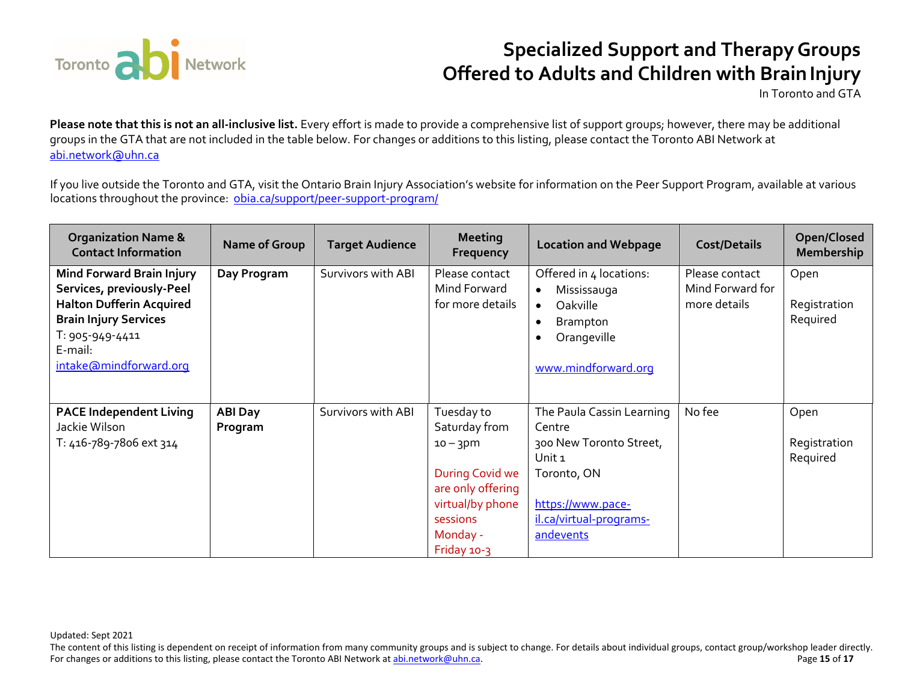

In Toronto and GTA

**Please note that this is not an all-inclusive list.** Every effort is made to provide a comprehensive list of support groups; however, there may be additional groups in the GTA that are not included in the table below. For changes or additions to this listing, please contact the Toronto ABI Network at abi.network@uhn.ca

If you live outside the Toronto and GTA, visit the Ontario Brain Injury Association's website for information on the Peer Support Program, available at various locations throughout the province: <u>obia.ca/support/peer-support-program/</u>

| <b>Organization Name &amp;</b><br><b>Contact Information</b>                                                                                                                             | Name of Group             | <b>Target Audience</b> | <b>Meeting</b><br>Frequency                                                                                                                   | <b>Location and Webpage</b>                                                                                                                                     | <b>Cost/Details</b>                                | Open/Closed<br><b>Membership</b> |
|------------------------------------------------------------------------------------------------------------------------------------------------------------------------------------------|---------------------------|------------------------|-----------------------------------------------------------------------------------------------------------------------------------------------|-----------------------------------------------------------------------------------------------------------------------------------------------------------------|----------------------------------------------------|----------------------------------|
| <b>Mind Forward Brain Injury</b><br>Services, previously-Peel<br><b>Halton Dufferin Acquired</b><br><b>Brain Injury Services</b><br>T: 905-949-4411<br>E-mail:<br>intake@mindforward.org | Day Program               | Survivors with ABI     | Please contact<br>Mind Forward<br>for more details                                                                                            | Offered in 4 locations:<br>Mississauga<br>$\bullet$<br>Oakville<br>$\bullet$<br><b>Brampton</b><br>$\bullet$<br>Orangeville<br>$\bullet$<br>www.mindforward.org | Please contact<br>Mind Forward for<br>more details | Open<br>Registration<br>Required |
| <b>PACE Independent Living</b><br>Jackie Wilson<br>T: 416-789-7806 ext 314                                                                                                               | <b>ABI Day</b><br>Program | Survivors with ABI     | Tuesday to<br>Saturday from<br>$10 - 3$ pm<br>During Covid we<br>are only offering<br>virtual/by phone<br>sessions<br>Monday -<br>Friday 10-3 | The Paula Cassin Learning<br>Centre<br>300 New Toronto Street,<br>Unit 1<br>Toronto, ON<br>https://www.pace-<br>il.ca/virtual-programs-<br>andevents            | No fee                                             | Open<br>Registration<br>Required |

The content of this listing is dependent on receipt of information from many community groups and is subject to change. For details about individual groups, contact group/workshop leader directly. For changes or additions to this listing, please contact the Toronto ABI Network at abi.network@uhn.ca. Page **15** of **17**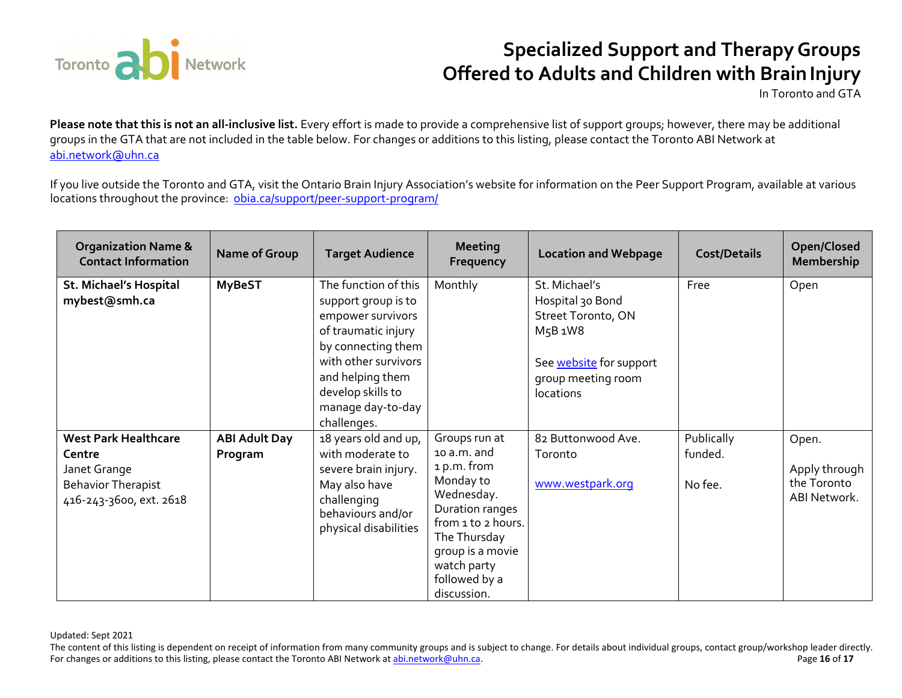

In Toronto and GTA

**Please note that this is not an all-inclusive list.** Every effort is made to provide a comprehensive list of support groups; however, there may be additional groups in the GTA that are not included in the table below. For changes or additions to this listing, please contact the Toronto ABI Network at abi.network@uhn.ca

If you live outside the Toronto and GTA, visit the Ontario Brain Injury Association's website for information on the Peer Support Program, available at various locations throughout the province: <u>obia.ca/support/peer-support-program/</u>

| <b>Organization Name &amp;</b><br><b>Contact Information</b>                                                  | Name of Group                   | <b>Target Audience</b>                                                                                                                                                                                             | <b>Meeting</b><br>Frequency                                                                                                                                                                        | <b>Location and Webpage</b>                                                                                                      | <b>Cost/Details</b>              | Open/Closed<br>Membership                             |
|---------------------------------------------------------------------------------------------------------------|---------------------------------|--------------------------------------------------------------------------------------------------------------------------------------------------------------------------------------------------------------------|----------------------------------------------------------------------------------------------------------------------------------------------------------------------------------------------------|----------------------------------------------------------------------------------------------------------------------------------|----------------------------------|-------------------------------------------------------|
| <b>St. Michael's Hospital</b><br>mybest@smh.ca                                                                | <b>MyBeST</b>                   | The function of this<br>support group is to<br>empower survivors<br>of traumatic injury<br>by connecting them<br>with other survivors<br>and helping them<br>develop skills to<br>manage day-to-day<br>challenges. | Monthly                                                                                                                                                                                            | St. Michael's<br>Hospital 30 Bond<br>Street Toronto, ON<br>M5B 1W8<br>See website for support<br>group meeting room<br>locations | Free                             | Open                                                  |
| <b>West Park Healthcare</b><br>Centre<br>Janet Grange<br><b>Behavior Therapist</b><br>416-243-3600, ext. 2618 | <b>ABI Adult Day</b><br>Program | 18 years old and up,<br>with moderate to<br>severe brain injury.<br>May also have<br>challenging<br>behaviours and/or<br>physical disabilities                                                                     | Groups run at<br>10 a.m. and<br>1 p.m. from<br>Monday to<br>Wednesday.<br>Duration ranges<br>from 1 to 2 hours.<br>The Thursday<br>group is a movie<br>watch party<br>followed by a<br>discussion. | 82 Buttonwood Ave.<br>Toronto<br>www.westpark.org                                                                                | Publically<br>funded.<br>No fee. | Open.<br>Apply through<br>the Toronto<br>ABI Network. |

Updated: Sept 2021

The content of this listing is dependent on receipt of information from many community groups and is subject to change. For details about individual groups, contact group/workshop leader directly. For changes or additions to this listing, please contact the Toronto ABI Network at abi.network@uhn.ca. Page **16** of **17**